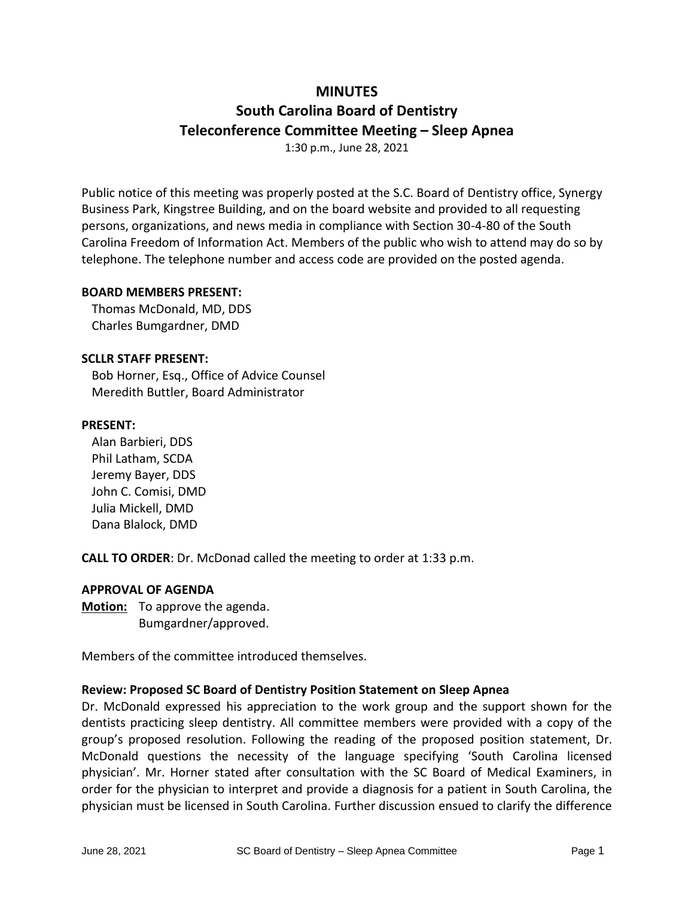# **MINUTES**

# **South Carolina Board of Dentistry Teleconference Committee Meeting – Sleep Apnea**

1:30 p.m., June 28, 2021

Public notice of this meeting was properly posted at the S.C. Board of Dentistry office, Synergy Business Park, Kingstree Building, and on the board website and provided to all requesting persons, organizations, and news media in compliance with Section 30-4-80 of the South Carolina Freedom of Information Act. Members of the public who wish to attend may do so by telephone. The telephone number and access code are provided on the posted agenda.

# **BOARD MEMBERS PRESENT:**

Thomas McDonald, MD, DDS Charles Bumgardner, DMD

# **SCLLR STAFF PRESENT:**

Bob Horner, Esq., Office of Advice Counsel Meredith Buttler, Board Administrator

# **PRESENT:**

Alan Barbieri, DDS Phil Latham, SCDA Jeremy Bayer, DDS John C. Comisi, DMD Julia Mickell, DMD Dana Blalock, DMD

**CALL TO ORDER**: Dr. McDonad called the meeting to order at 1:33 p.m.

#### **APPROVAL OF AGENDA**

**Motion:** To approve the agenda. Bumgardner/approved.

Members of the committee introduced themselves.

#### **Review: Proposed SC Board of Dentistry Position Statement on Sleep Apnea**

Dr. McDonald expressed his appreciation to the work group and the support shown for the dentists practicing sleep dentistry. All committee members were provided with a copy of the group's proposed resolution. Following the reading of the proposed position statement, Dr. McDonald questions the necessity of the language specifying 'South Carolina licensed physician'. Mr. Horner stated after consultation with the SC Board of Medical Examiners, in order for the physician to interpret and provide a diagnosis for a patient in South Carolina, the physician must be licensed in South Carolina. Further discussion ensued to clarify the difference